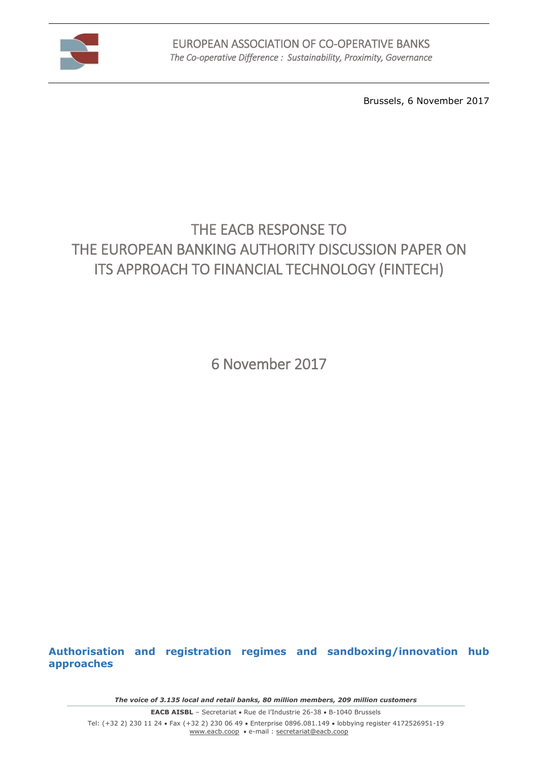

Brussels, 6 November 2017

# THE EACB RESPONSE TO THE EUROPEAN BANKING AUTHORITY DISCUSSION PAPER ON ITS APPROACH TO FINANCIAL TECHNOLOGY (FINTECH)

6 November 2017

**Authorisation and registration regimes and sandboxing/innovation hub approaches**

*The voice of 3.135 local and retail banks, 80 million members, 209 million customers*

**EACB AISBL** - Secretariat . Rue de l'Industrie 26-38 . B-1040 Brussels Tel: (+32 2) 230 11 24 Fax (+32 2) 230 06 49 Enterprise 0896.081.149 lobbying register 4172526951-19 [www.eacb.coop](http://www.eacb.coop/)  e-mail : [secretariat@eacb.coop](mailto:secretariat@eacb.coop)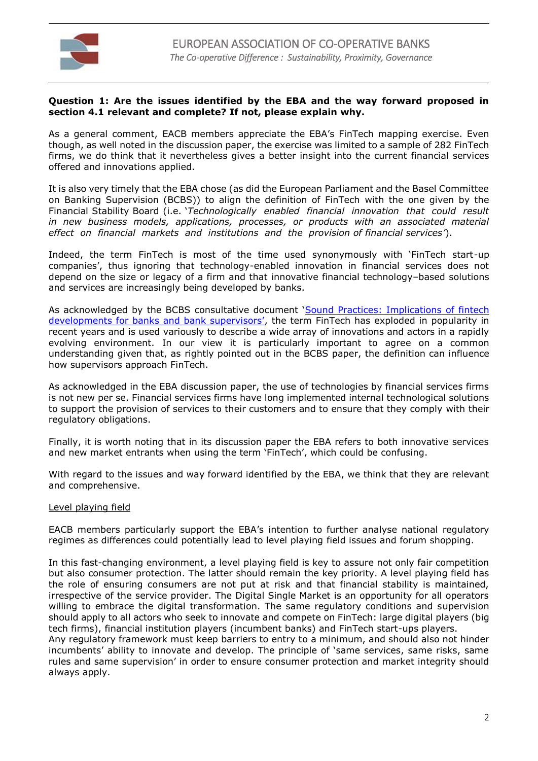

#### **Question 1: Are the issues identified by the EBA and the way forward proposed in section 4.1 relevant and complete? If not, please explain why.**

As a general comment, EACB members appreciate the EBA's FinTech mapping exercise. Even though, as well noted in the discussion paper, the exercise was limited to a sample of 282 FinTech firms, we do think that it nevertheless gives a better insight into the current financial services offered and innovations applied.

It is also very timely that the EBA chose (as did the European Parliament and the Basel Committee on Banking Supervision (BCBS)) to align the definition of FinTech with the one given by the Financial Stability Board (i.e. '*Technologically enabled financial innovation that could result in new business models, applications, processes, or products with an associated material effect on financial markets and institutions and the provision of financial services'*).

Indeed, the term FinTech is most of the time used synonymously with 'FinTech start-up companies', thus ignoring that technology-enabled innovation in financial services does not depend on the size or legacy of a firm and that innovative financial technology–based solutions and services are increasingly being developed by banks.

As acknowledged by the BCBS consultative document '[Sound Practices: Implications of fintech](http://www.bis.org/bcbs/publ/d415.pdf)  [developments for banks and bank supervisors'](http://www.bis.org/bcbs/publ/d415.pdf), the term FinTech has exploded in popularity in recent years and is used variously to describe a wide array of innovations and actors in a rapidly evolving environment. In our view it is particularly important to agree on a common understanding given that, as rightly pointed out in the BCBS paper, the definition can influence how supervisors approach FinTech.

As acknowledged in the EBA discussion paper, the use of technologies by financial services firms is not new per se. Financial services firms have long implemented internal technological solutions to support the provision of services to their customers and to ensure that they comply with their regulatory obligations.

Finally, it is worth noting that in its discussion paper the EBA refers to both innovative services and new market entrants when using the term 'FinTech', which could be confusing.

With regard to the issues and way forward identified by the EBA, we think that they are relevant and comprehensive.

#### Level playing field

EACB members particularly support the EBA's intention to further analyse national regulatory regimes as differences could potentially lead to level playing field issues and forum shopping.

In this fast-changing environment, a level playing field is key to assure not only fair competition but also consumer protection. The latter should remain the key priority. A level playing field has the role of ensuring consumers are not put at risk and that financial stability is maintained, irrespective of the service provider. The Digital Single Market is an opportunity for all operators willing to embrace the digital transformation. The same regulatory conditions and supervision should apply to all actors who seek to innovate and compete on FinTech: large digital players (big tech firms), financial institution players (incumbent banks) and FinTech start-ups players.

Any regulatory framework must keep barriers to entry to a minimum, and should also not hinder incumbents' ability to innovate and develop. The principle of 'same services, same risks, same rules and same supervision' in order to ensure consumer protection and market integrity should always apply.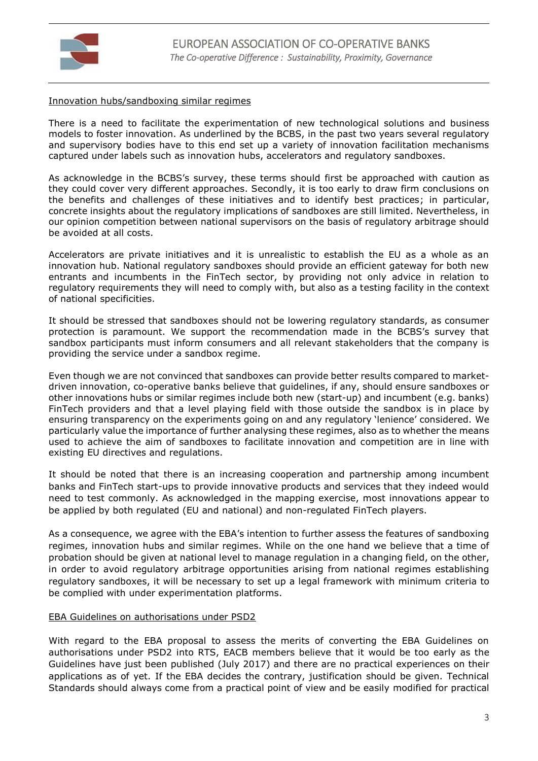

### Innovation hubs/sandboxing similar regimes

There is a need to facilitate the experimentation of new technological solutions and business models to foster innovation. As underlined by the BCBS, in the past two years several regulatory and supervisory bodies have to this end set up a variety of innovation facilitation mechanisms captured under labels such as innovation hubs, accelerators and regulatory sandboxes.

As acknowledge in the BCBS's survey, these terms should first be approached with caution as they could cover very different approaches. Secondly, it is too early to draw firm conclusions on the benefits and challenges of these initiatives and to identify best practices; in particular, concrete insights about the regulatory implications of sandboxes are still limited. Nevertheless, in our opinion competition between national supervisors on the basis of regulatory arbitrage should be avoided at all costs.

Accelerators are private initiatives and it is unrealistic to establish the EU as a whole as an innovation hub. National regulatory sandboxes should provide an efficient gateway for both new entrants and incumbents in the FinTech sector, by providing not only advice in relation to regulatory requirements they will need to comply with, but also as a testing facility in the context of national specificities.

It should be stressed that sandboxes should not be lowering regulatory standards, as consumer protection is paramount. We support the recommendation made in the BCBS's survey that sandbox participants must inform consumers and all relevant stakeholders that the company is providing the service under a sandbox regime.

Even though we are not convinced that sandboxes can provide better results compared to marketdriven innovation, co-operative banks believe that guidelines, if any, should ensure sandboxes or other innovations hubs or similar regimes include both new (start-up) and incumbent (e.g. banks) FinTech providers and that a level playing field with those outside the sandbox is in place by ensuring transparency on the experiments going on and any regulatory 'lenience' considered. We particularly value the importance of further analysing these regimes, also as to whether the means used to achieve the aim of sandboxes to facilitate innovation and competition are in line with existing EU directives and regulations.

It should be noted that there is an increasing cooperation and partnership among incumbent banks and FinTech start-ups to provide innovative products and services that they indeed would need to test commonly. As acknowledged in the mapping exercise, most innovations appear to be applied by both regulated (EU and national) and non-regulated FinTech players.

As a consequence, we agree with the EBA's intention to further assess the features of sandboxing regimes, innovation hubs and similar regimes. While on the one hand we believe that a time of probation should be given at national level to manage regulation in a changing field, on the other, in order to avoid regulatory arbitrage opportunities arising from national regimes establishing regulatory sandboxes, it will be necessary to set up a legal framework with minimum criteria to be complied with under experimentation platforms.

#### EBA Guidelines on authorisations under PSD2

With regard to the EBA proposal to assess the merits of converting the EBA Guidelines on authorisations under PSD2 into RTS, EACB members believe that it would be too early as the Guidelines have just been published (July 2017) and there are no practical experiences on their applications as of yet. If the EBA decides the contrary, justification should be given. Technical Standards should always come from a practical point of view and be easily modified for practical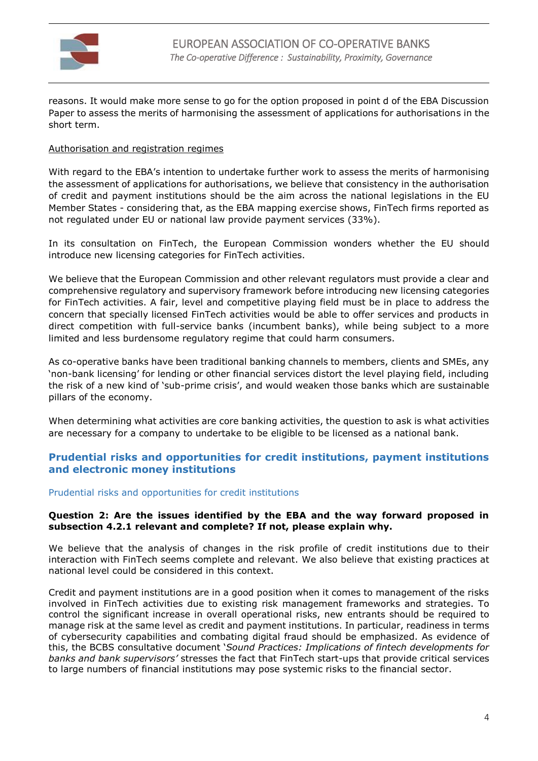

reasons. It would make more sense to go for the option proposed in point d of the EBA Discussion Paper to assess the merits of harmonising the assessment of applications for authorisations in the short term.

## Authorisation and registration regimes

With regard to the EBA's intention to undertake further work to assess the merits of harmonising the assessment of applications for authorisations, we believe that consistency in the authorisation of credit and payment institutions should be the aim across the national legislations in the EU Member States - considering that, as the EBA mapping exercise shows, FinTech firms reported as not regulated under EU or national law provide payment services (33%).

In its consultation on FinTech, the European Commission wonders whether the EU should introduce new licensing categories for FinTech activities.

We believe that the European Commission and other relevant regulators must provide a clear and comprehensive regulatory and supervisory framework before introducing new licensing categories for FinTech activities. A fair, level and competitive playing field must be in place to address the concern that specially licensed FinTech activities would be able to offer services and products in direct competition with full-service banks (incumbent banks), while being subject to a more limited and less burdensome regulatory regime that could harm consumers.

As co-operative banks have been traditional banking channels to members, clients and SMEs, any 'non-bank licensing' for lending or other financial services distort the level playing field, including the risk of a new kind of 'sub-prime crisis', and would weaken those banks which are sustainable pillars of the economy.

When determining what activities are core banking activities, the question to ask is what activities are necessary for a company to undertake to be eligible to be licensed as a national bank.

# **Prudential risks and opportunities for credit institutions, payment institutions and electronic money institutions**

# Prudential risks and opportunities for credit institutions

### **Question 2: Are the issues identified by the EBA and the way forward proposed in subsection 4.2.1 relevant and complete? If not, please explain why.**

We believe that the analysis of changes in the risk profile of credit institutions due to their interaction with FinTech seems complete and relevant. We also believe that existing practices at national level could be considered in this context.

Credit and payment institutions are in a good position when it comes to management of the risks involved in FinTech activities due to existing risk management frameworks and strategies. To control the significant increase in overall operational risks, new entrants should be required to manage risk at the same level as credit and payment institutions. In particular, readiness in terms of cybersecurity capabilities and combating digital fraud should be emphasized. As evidence of this, the BCBS consultative document '*Sound Practices: Implications of fintech developments for banks and bank supervisors'* stresses the fact that FinTech start-ups that provide critical services to large numbers of financial institutions may pose systemic risks to the financial sector.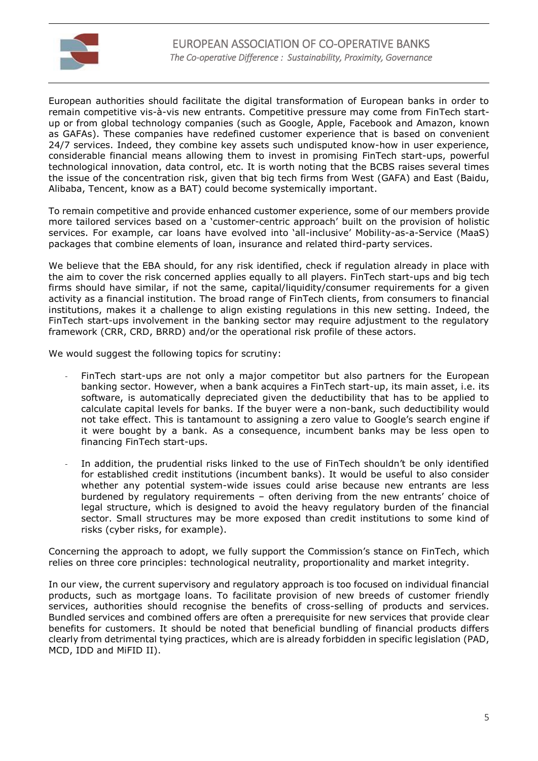

European authorities should facilitate the digital transformation of European banks in order to remain competitive vis-à-vis new entrants. Competitive pressure may come from FinTech startup or from global technology companies (such as Google, Apple, Facebook and Amazon, known as GAFAs). These companies have redefined customer experience that is based on convenient 24/7 services. Indeed, they combine key assets such undisputed know-how in user experience, considerable financial means allowing them to invest in promising FinTech start-ups, powerful technological innovation, data control, etc. It is worth noting that the BCBS raises several times the issue of the concentration risk, given that big tech firms from West (GAFA) and East (Baidu, Alibaba, Tencent, know as a BAT) could become systemically important.

To remain competitive and provide enhanced customer experience, some of our members provide more tailored services based on a 'customer-centric approach' built on the provision of holistic services. For example, car loans have evolved into 'all-inclusive' Mobility-as-a-Service (MaaS) packages that combine elements of loan, insurance and related third-party services.

We believe that the EBA should, for any risk identified, check if regulation already in place with the aim to cover the risk concerned applies equally to all players. FinTech start-ups and big tech firms should have similar, if not the same, capital/liquidity/consumer requirements for a given activity as a financial institution. The broad range of FinTech clients, from consumers to financial institutions, makes it a challenge to align existing regulations in this new setting. Indeed, the FinTech start-ups involvement in the banking sector may require adjustment to the regulatory framework (CRR, CRD, BRRD) and/or the operational risk profile of these actors.

We would suggest the following topics for scrutiny:

- FinTech start-ups are not only a major competitor but also partners for the European banking sector. However, when a bank acquires a FinTech start-up, its main asset, i.e. its software, is automatically depreciated given the deductibility that has to be applied to calculate capital levels for banks. If the buyer were a non-bank, such deductibility would not take effect. This is tantamount to assigning a zero value to Google's search engine if it were bought by a bank. As a consequence, incumbent banks may be less open to financing FinTech start-ups.
- In addition, the prudential risks linked to the use of FinTech shouldn't be only identified for established credit institutions (incumbent banks). It would be useful to also consider whether any potential system-wide issues could arise because new entrants are less burdened by regulatory requirements – often deriving from the new entrants' choice of legal structure, which is designed to avoid the heavy regulatory burden of the financial sector. Small structures may be more exposed than credit institutions to some kind of risks (cyber risks, for example).

Concerning the approach to adopt, we fully support the Commission's stance on FinTech, which relies on three core principles: technological neutrality, proportionality and market integrity.

In our view, the current supervisory and regulatory approach is too focused on individual financial products, such as mortgage loans. To facilitate provision of new breeds of customer friendly services, authorities should recognise the benefits of cross-selling of products and services. Bundled services and combined offers are often a prerequisite for new services that provide clear benefits for customers. It should be noted that beneficial bundling of financial products differs clearly from detrimental tying practices, which are is already forbidden in specific legislation (PAD, MCD, IDD and MiFID II).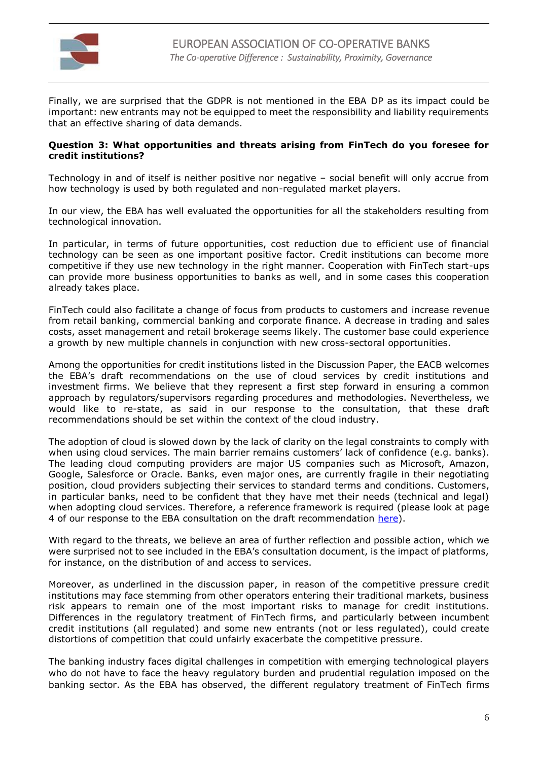

Finally, we are surprised that the GDPR is not mentioned in the EBA DP as its impact could be important: new entrants may not be equipped to meet the responsibility and liability requirements that an effective sharing of data demands.

#### **Question 3: What opportunities and threats arising from FinTech do you foresee for credit institutions?**

Technology in and of itself is neither positive nor negative – social benefit will only accrue from how technology is used by both regulated and non-regulated market players.

In our view, the EBA has well evaluated the opportunities for all the stakeholders resulting from technological innovation.

In particular, in terms of future opportunities, cost reduction due to efficient use of financial technology can be seen as one important positive factor. Credit institutions can become more competitive if they use new technology in the right manner. Cooperation with FinTech start-ups can provide more business opportunities to banks as well, and in some cases this cooperation already takes place.

FinTech could also facilitate a change of focus from products to customers and increase revenue from retail banking, commercial banking and corporate finance. A decrease in trading and sales costs, asset management and retail brokerage seems likely. The customer base could experience a growth by new multiple channels in conjunction with new cross-sectoral opportunities.

Among the opportunities for credit institutions listed in the Discussion Paper, the EACB welcomes the EBA's draft recommendations on the use of cloud services by credit institutions and investment firms. We believe that they represent a first step forward in ensuring a common approach by regulators/supervisors regarding procedures and methodologies. Nevertheless, we would like to re-state, as said in our response to the consultation, that these draft recommendations should be set within the context of the cloud industry.

The adoption of cloud is slowed down by the lack of clarity on the legal constraints to comply with when using cloud services. The main barrier remains customers' lack of confidence (e.g. banks). The leading cloud computing providers are major US companies such as Microsoft, Amazon, Google, Salesforce or Oracle. Banks, even major ones, are currently fragile in their negotiating position, cloud providers subjecting their services to standard terms and conditions. Customers, in particular banks, need to be confident that they have met their needs (technical and legal) when adopting cloud services. Therefore, a reference framework is required (please look at page 4 of our response to the EBA consultation on the draft recommendation [here\)](http://v3.globalcube.net/clients/eacb/content/medias/publications/position_papers/payement_systems/final_eacb_eba_consultation_outsourcing_cloud_computing.pdf).

With regard to the threats, we believe an area of further reflection and possible action, which we were surprised not to see included in the EBA's consultation document, is the impact of platforms, for instance, on the distribution of and access to services.

Moreover, as underlined in the discussion paper, in reason of the competitive pressure credit institutions may face stemming from other operators entering their traditional markets, business risk appears to remain one of the most important risks to manage for credit institutions. Differences in the regulatory treatment of FinTech firms, and particularly between incumbent credit institutions (all regulated) and some new entrants (not or less regulated), could create distortions of competition that could unfairly exacerbate the competitive pressure.

The banking industry faces digital challenges in competition with emerging technological players who do not have to face the heavy regulatory burden and prudential regulation imposed on the banking sector. As the EBA has observed, the different regulatory treatment of FinTech firms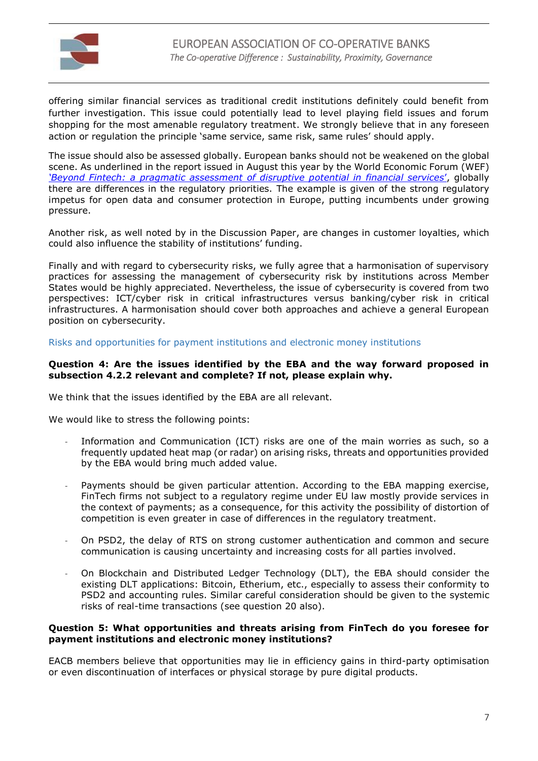

offering similar financial services as traditional credit institutions definitely could benefit from further investigation. This issue could potentially lead to level playing field issues and forum shopping for the most amenable regulatory treatment. We strongly believe that in any foreseen action or regulation the principle 'same service, same risk, same rules' should apply.

The issue should also be assessed globally. European banks should not be weakened on the global scene. As underlined in the report issued in August this year by the World Economic Forum (WEF) *['Beyond Fintech: a pragmatic assessment of disruptive p](http://www3.weforum.org/docs/Beyond_Fintech_-_A_Pragmatic_Assessment_of_Disruptive_Potential_in_Financial_Services.pdf)otential in financial services*', globally there are differences in the regulatory priorities. The example is given of the strong regulatory impetus for open data and consumer protection in Europe, putting incumbents under growing pressure.

Another risk, as well noted by in the Discussion Paper, are changes in customer loyalties, which could also influence the stability of institutions' funding.

Finally and with regard to cybersecurity risks, we fully agree that a harmonisation of supervisory practices for assessing the management of cybersecurity risk by institutions across Member States would be highly appreciated. Nevertheless, the issue of cybersecurity is covered from two perspectives: ICT/cyber risk in critical infrastructures versus banking/cyber risk in critical infrastructures. A harmonisation should cover both approaches and achieve a general European position on cybersecurity.

Risks and opportunities for payment institutions and electronic money institutions

#### **Question 4: Are the issues identified by the EBA and the way forward proposed in subsection 4.2.2 relevant and complete? If not, please explain why.**

We think that the issues identified by the EBA are all relevant.

We would like to stress the following points:

- Information and Communication (ICT) risks are one of the main worries as such, so a frequently updated heat map (or radar) on arising risks, threats and opportunities provided by the EBA would bring much added value.
- Payments should be given particular attention. According to the EBA mapping exercise, FinTech firms not subject to a regulatory regime under EU law mostly provide services in the context of payments; as a consequence, for this activity the possibility of distortion of competition is even greater in case of differences in the regulatory treatment.
- On PSD2, the delay of RTS on strong customer authentication and common and secure communication is causing uncertainty and increasing costs for all parties involved.
- On Blockchain and Distributed Ledger Technology (DLT), the EBA should consider the existing DLT applications: Bitcoin, Etherium, etc., especially to assess their conformity to PSD2 and accounting rules. Similar careful consideration should be given to the systemic risks of real-time transactions (see question 20 also).

### **Question 5: What opportunities and threats arising from FinTech do you foresee for payment institutions and electronic money institutions?**

EACB members believe that opportunities may lie in efficiency gains in third-party optimisation or even discontinuation of interfaces or physical storage by pure digital products.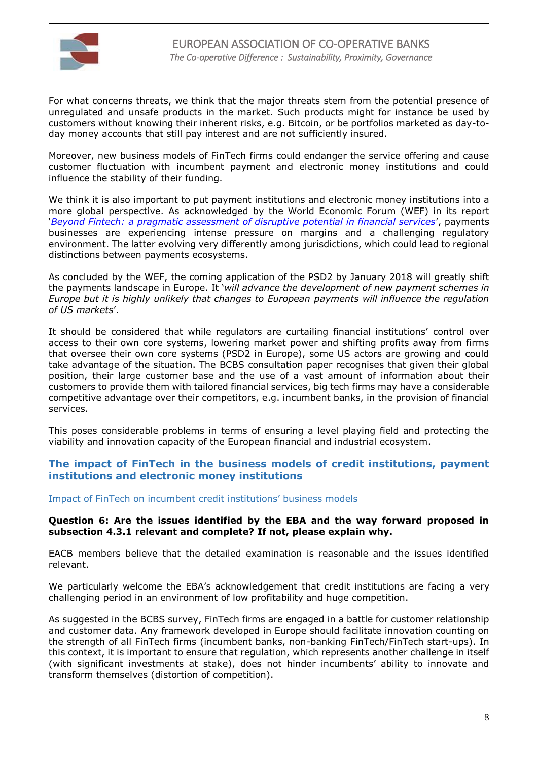

For what concerns threats, we think that the major threats stem from the potential presence of unregulated and unsafe products in the market. Such products might for instance be used by customers without knowing their inherent risks, e.g. Bitcoin, or be portfolios marketed as day-today money accounts that still pay interest and are not sufficiently insured.

Moreover, new business models of FinTech firms could endanger the service offering and cause customer fluctuation with incumbent payment and electronic money institutions and could influence the stability of their funding.

We think it is also important to put payment institutions and electronic money institutions into a more global perspective. As acknowledged by the World Economic Forum (WEF) in its report '*Beyond Fintech: [a pragmatic assessment of disruptive potential in financial services](http://www3.weforum.org/docs/Beyond_Fintech_-_A_Pragmatic_Assessment_of_Disruptive_Potential_in_Financial_Services.pdf)*', payments businesses are experiencing intense pressure on margins and a challenging regulatory environment. The latter evolving very differently among jurisdictions, which could lead to regional distinctions between payments ecosystems.

As concluded by the WEF, the coming application of the PSD2 by January 2018 will greatly shift the payments landscape in Europe. It '*will advance the development of new payment schemes in Europe but it is highly unlikely that changes to European payments will influence the regulation of US markets*'.

It should be considered that while regulators are curtailing financial institutions' control over access to their own core systems, lowering market power and shifting profits away from firms that oversee their own core systems (PSD2 in Europe), some US actors are growing and could take advantage of the situation. The BCBS consultation paper recognises that given their global position, their large customer base and the use of a vast amount of information about their customers to provide them with tailored financial services, big tech firms may have a considerable competitive advantage over their competitors, e.g. incumbent banks, in the provision of financial services.

This poses considerable problems in terms of ensuring a level playing field and protecting the viability and innovation capacity of the European financial and industrial ecosystem.

# **The impact of FinTech in the business models of credit institutions, payment institutions and electronic money institutions**

#### Impact of FinTech on incumbent credit institutions' business models

#### **Question 6: Are the issues identified by the EBA and the way forward proposed in subsection 4.3.1 relevant and complete? If not, please explain why.**

EACB members believe that the detailed examination is reasonable and the issues identified relevant.

We particularly welcome the EBA's acknowledgement that credit institutions are facing a very challenging period in an environment of low profitability and huge competition.

As suggested in the BCBS survey, FinTech firms are engaged in a battle for customer relationship and customer data. Any framework developed in Europe should facilitate innovation counting on the strength of all FinTech firms (incumbent banks, non-banking FinTech/FinTech start-ups). In this context, it is important to ensure that regulation, which represents another challenge in itself (with significant investments at stake), does not hinder incumbents' ability to innovate and transform themselves (distortion of competition).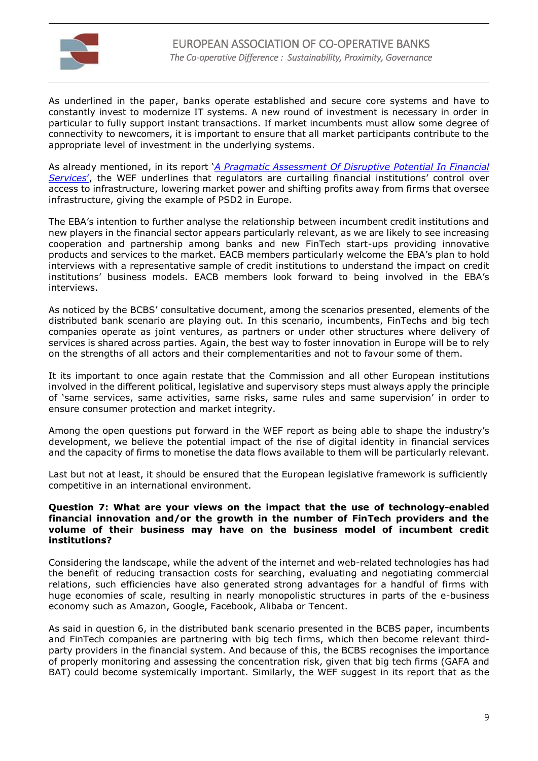

As underlined in the paper, banks operate established and secure core systems and have to constantly invest to modernize IT systems. A new round of investment is necessary in order in particular to fully support instant transactions. If market incumbents must allow some degree of connectivity to newcomers, it is important to ensure that all market participants contribute to the appropriate level of investment in the underlying systems.

As already mentioned, in its report '*[A Pragmatic Assessment Of Disruptive](http://www3.weforum.org/docs/Beyond_Fintech_-_A_Pragmatic_Assessment_of_Disruptive_Potential_in_Financial_Services.pdf) Potential In Financial [Services](http://www3.weforum.org/docs/Beyond_Fintech_-_A_Pragmatic_Assessment_of_Disruptive_Potential_in_Financial_Services.pdf)*', the WEF underlines that regulators are curtailing financial institutions' control over access to infrastructure, lowering market power and shifting profits away from firms that oversee infrastructure, giving the example of PSD2 in Europe.

The EBA's intention to further analyse the relationship between incumbent credit institutions and new players in the financial sector appears particularly relevant, as we are likely to see increasing cooperation and partnership among banks and new FinTech start-ups providing innovative products and services to the market. EACB members particularly welcome the EBA's plan to hold interviews with a representative sample of credit institutions to understand the impact on credit institutions' business models. EACB members look forward to being involved in the EBA's interviews.

As noticed by the BCBS' consultative document, among the scenarios presented, elements of the distributed bank scenario are playing out. In this scenario, incumbents, FinTechs and big tech companies operate as joint ventures, as partners or under other structures where delivery of services is shared across parties. Again, the best way to foster innovation in Europe will be to rely on the strengths of all actors and their complementarities and not to favour some of them.

It its important to once again restate that the Commission and all other European institutions involved in the different political, legislative and supervisory steps must always apply the principle of 'same services, same activities, same risks, same rules and same supervision' in order to ensure consumer protection and market integrity.

Among the open questions put forward in the WEF report as being able to shape the industry's development, we believe the potential impact of the rise of digital identity in financial services and the capacity of firms to monetise the data flows available to them will be particularly relevant.

Last but not at least, it should be ensured that the European legislative framework is sufficiently competitive in an international environment.

#### **Question 7: What are your views on the impact that the use of technology-enabled financial innovation and/or the growth in the number of FinTech providers and the volume of their business may have on the business model of incumbent credit institutions?**

Considering the landscape, while the advent of the internet and web-related technologies has had the benefit of reducing transaction costs for searching, evaluating and negotiating commercial relations, such efficiencies have also generated strong advantages for a handful of firms with huge economies of scale, resulting in nearly monopolistic structures in parts of the e-business economy such as Amazon, Google, Facebook, Alibaba or Tencent.

As said in question 6, in the distributed bank scenario presented in the BCBS paper, incumbents and FinTech companies are partnering with big tech firms, which then become relevant thirdparty providers in the financial system. And because of this, the BCBS recognises the importance of properly monitoring and assessing the concentration risk, given that big tech firms (GAFA and BAT) could become systemically important. Similarly, the WEF suggest in its report that as the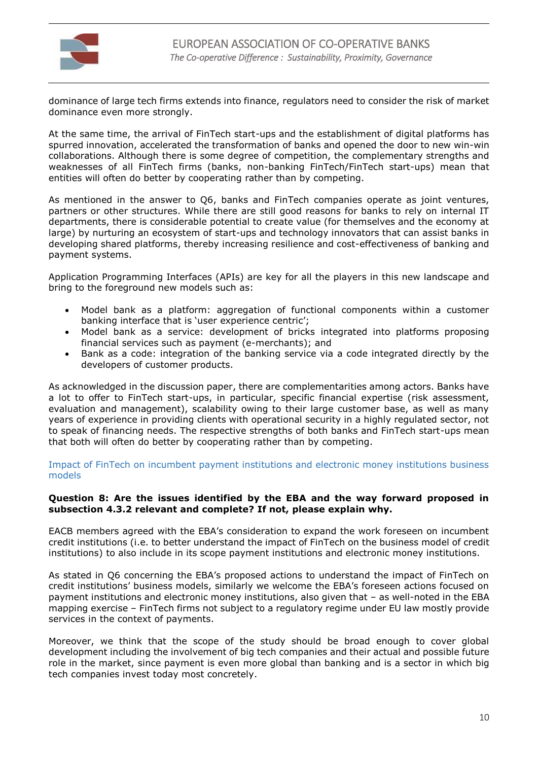

dominance of large tech firms extends into finance, regulators need to consider the risk of market dominance even more strongly.

At the same time, the arrival of FinTech start-ups and the establishment of digital platforms has spurred innovation, accelerated the transformation of banks and opened the door to new win-win collaborations. Although there is some degree of competition, the complementary strengths and weaknesses of all FinTech firms (banks, non-banking FinTech/FinTech start-ups) mean that entities will often do better by cooperating rather than by competing.

As mentioned in the answer to Q6, banks and FinTech companies operate as joint ventures, partners or other structures. While there are still good reasons for banks to rely on internal IT departments, there is considerable potential to create value (for themselves and the economy at large) by nurturing an ecosystem of start-ups and technology innovators that can assist banks in developing shared platforms, thereby increasing resilience and cost-effectiveness of banking and payment systems.

Application Programming Interfaces (APIs) are key for all the players in this new landscape and bring to the foreground new models such as:

- Model bank as a platform: aggregation of functional components within a customer banking interface that is 'user experience centric';
- Model bank as a service: development of bricks integrated into platforms proposing financial services such as payment (e-merchants); and
- Bank as a code: integration of the banking service via a code integrated directly by the developers of customer products.

As acknowledged in the discussion paper, there are complementarities among actors. Banks have a lot to offer to FinTech start-ups, in particular, specific financial expertise (risk assessment, evaluation and management), scalability owing to their large customer base, as well as many years of experience in providing clients with operational security in a highly regulated sector, not to speak of financing needs. The respective strengths of both banks and FinTech start-ups mean that both will often do better by cooperating rather than by competing.

Impact of FinTech on incumbent payment institutions and electronic money institutions business models

### **Question 8: Are the issues identified by the EBA and the way forward proposed in subsection 4.3.2 relevant and complete? If not, please explain why.**

EACB members agreed with the EBA's consideration to expand the work foreseen on incumbent credit institutions (i.e. to better understand the impact of FinTech on the business model of credit institutions) to also include in its scope payment institutions and electronic money institutions.

As stated in Q6 concerning the EBA's proposed actions to understand the impact of FinTech on credit institutions' business models, similarly we welcome the EBA's foreseen actions focused on payment institutions and electronic money institutions, also given that – as well-noted in the EBA mapping exercise – FinTech firms not subject to a regulatory regime under EU law mostly provide services in the context of payments.

Moreover, we think that the scope of the study should be broad enough to cover global development including the involvement of big tech companies and their actual and possible future role in the market, since payment is even more global than banking and is a sector in which big tech companies invest today most concretely.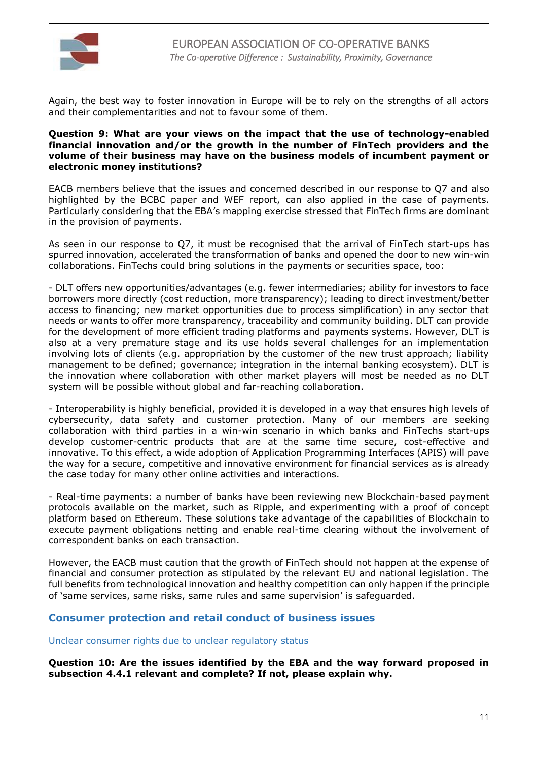

Again, the best way to foster innovation in Europe will be to rely on the strengths of all actors and their complementarities and not to favour some of them.

#### **Question 9: What are your views on the impact that the use of technology-enabled financial innovation and/or the growth in the number of FinTech providers and the volume of their business may have on the business models of incumbent payment or electronic money institutions?**

EACB members believe that the issues and concerned described in our response to Q7 and also highlighted by the BCBC paper and WEF report, can also applied in the case of payments. Particularly considering that the EBA's mapping exercise stressed that FinTech firms are dominant in the provision of payments.

As seen in our response to Q7, it must be recognised that the arrival of FinTech start-ups has spurred innovation, accelerated the transformation of banks and opened the door to new win-win collaborations. FinTechs could bring solutions in the payments or securities space, too:

- DLT offers new opportunities/advantages (e.g. fewer intermediaries; ability for investors to face borrowers more directly (cost reduction, more transparency); leading to direct investment/better access to financing; new market opportunities due to process simplification) in any sector that needs or wants to offer more transparency, traceability and community building. DLT can provide for the development of more efficient trading platforms and payments systems. However, DLT is also at a very premature stage and its use holds several challenges for an implementation involving lots of clients (e.g. appropriation by the customer of the new trust approach; liability management to be defined; governance; integration in the internal banking ecosystem). DLT is the innovation where collaboration with other market players will most be needed as no DLT system will be possible without global and far-reaching collaboration.

- Interoperability is highly beneficial, provided it is developed in a way that ensures high levels of cybersecurity, data safety and customer protection. Many of our members are seeking collaboration with third parties in a win-win scenario in which banks and FinTechs start-ups develop customer-centric products that are at the same time secure, cost-effective and innovative. To this effect, a wide adoption of Application Programming Interfaces (APIS) will pave the way for a secure, competitive and innovative environment for financial services as is already the case today for many other online activities and interactions.

- Real-time payments: a number of banks have been reviewing new Blockchain-based payment protocols available on the market, such as Ripple, and experimenting with a proof of concept platform based on Ethereum. These solutions take advantage of the capabilities of Blockchain to execute payment obligations netting and enable real-time clearing without the involvement of correspondent banks on each transaction.

However, the EACB must caution that the growth of FinTech should not happen at the expense of financial and consumer protection as stipulated by the relevant EU and national legislation. The full benefits from technological innovation and healthy competition can only happen if the principle of 'same services, same risks, same rules and same supervision' is safeguarded.

# **Consumer protection and retail conduct of business issues**

Unclear consumer rights due to unclear regulatory status

**Question 10: Are the issues identified by the EBA and the way forward proposed in subsection 4.4.1 relevant and complete? If not, please explain why.**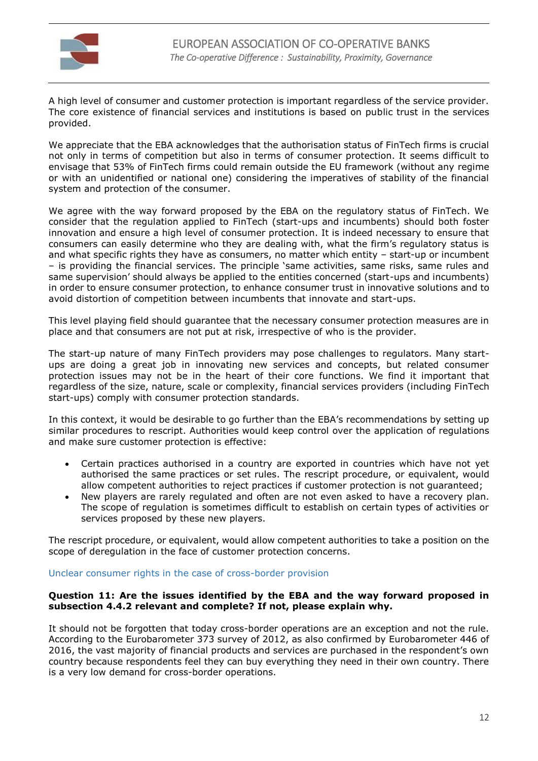

A high level of consumer and customer protection is important regardless of the service provider. The core existence of financial services and institutions is based on public trust in the services provided.

We appreciate that the EBA acknowledges that the authorisation status of FinTech firms is crucial not only in terms of competition but also in terms of consumer protection. It seems difficult to envisage that 53% of FinTech firms could remain outside the EU framework (without any regime or with an unidentified or national one) considering the imperatives of stability of the financial system and protection of the consumer.

We agree with the way forward proposed by the EBA on the regulatory status of FinTech. We consider that the regulation applied to FinTech (start-ups and incumbents) should both foster innovation and ensure a high level of consumer protection. It is indeed necessary to ensure that consumers can easily determine who they are dealing with, what the firm's regulatory status is and what specific rights they have as consumers, no matter which entity – start-up or incumbent – is providing the financial services. The principle 'same activities, same risks, same rules and same supervision' should always be applied to the entities concerned (start-ups and incumbents) in order to ensure consumer protection, to enhance consumer trust in innovative solutions and to avoid distortion of competition between incumbents that innovate and start-ups.

This level playing field should guarantee that the necessary consumer protection measures are in place and that consumers are not put at risk, irrespective of who is the provider.

The start-up nature of many FinTech providers may pose challenges to regulators. Many startups are doing a great job in innovating new services and concepts, but related consumer protection issues may not be in the heart of their core functions. We find it important that regardless of the size, nature, scale or complexity, financial services providers (including FinTech start-ups) comply with consumer protection standards.

In this context, it would be desirable to go further than the EBA's recommendations by setting up similar procedures to rescript. Authorities would keep control over the application of regulations and make sure customer protection is effective:

- Certain practices authorised in a country are exported in countries which have not yet authorised the same practices or set rules. The rescript procedure, or equivalent, would allow competent authorities to reject practices if customer protection is not guaranteed;
- New players are rarely regulated and often are not even asked to have a recovery plan. The scope of regulation is sometimes difficult to establish on certain types of activities or services proposed by these new players.

The rescript procedure, or equivalent, would allow competent authorities to take a position on the scope of deregulation in the face of customer protection concerns.

#### Unclear consumer rights in the case of cross-border provision

#### **Question 11: Are the issues identified by the EBA and the way forward proposed in subsection 4.4.2 relevant and complete? If not, please explain why.**

It should not be forgotten that today cross-border operations are an exception and not the rule. According to the Eurobarometer 373 survey of 2012, as also confirmed by Eurobarometer 446 of 2016, the vast majority of financial products and services are purchased in the respondent's own country because respondents feel they can buy everything they need in their own country. There is a very low demand for cross-border operations.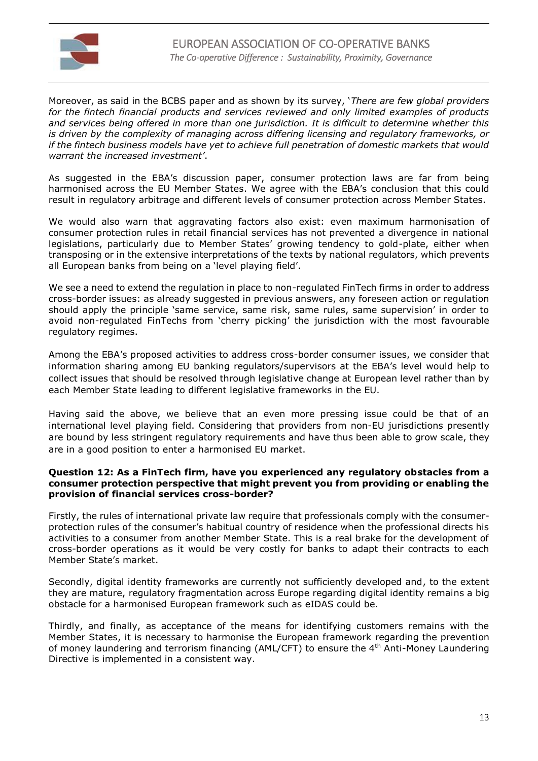

Moreover, as said in the BCBS paper and as shown by its survey, '*There are few global providers for the fintech financial products and services reviewed and only limited examples of products and services being offered in more than one jurisdiction. It is difficult to determine whether this is driven by the complexity of managing across differing licensing and regulatory frameworks, or if the fintech business models have yet to achieve full penetration of domestic markets that would warrant the increased investment'*.

As suggested in the EBA's discussion paper, consumer protection laws are far from being harmonised across the EU Member States. We agree with the EBA's conclusion that this could result in regulatory arbitrage and different levels of consumer protection across Member States.

We would also warn that aggravating factors also exist: even maximum harmonisation of consumer protection rules in retail financial services has not prevented a divergence in national legislations, particularly due to Member States' growing tendency to gold-plate, either when transposing or in the extensive interpretations of the texts by national regulators, which prevents all European banks from being on a 'level playing field'.

We see a need to extend the regulation in place to non-regulated FinTech firms in order to address cross-border issues: as already suggested in previous answers, any foreseen action or regulation should apply the principle 'same service, same risk, same rules, same supervision' in order to avoid non-regulated FinTechs from 'cherry picking' the jurisdiction with the most favourable regulatory regimes.

Among the EBA's proposed activities to address cross-border consumer issues, we consider that information sharing among EU banking regulators/supervisors at the EBA's level would help to collect issues that should be resolved through legislative change at European level rather than by each Member State leading to different legislative frameworks in the EU.

Having said the above, we believe that an even more pressing issue could be that of an international level playing field. Considering that providers from non-EU jurisdictions presently are bound by less stringent regulatory requirements and have thus been able to grow scale, they are in a good position to enter a harmonised EU market.

#### **Question 12: As a FinTech firm, have you experienced any regulatory obstacles from a consumer protection perspective that might prevent you from providing or enabling the provision of financial services cross-border?**

Firstly, the rules of international private law require that professionals comply with the consumerprotection rules of the consumer's habitual country of residence when the professional directs his activities to a consumer from another Member State. This is a real brake for the development of cross-border operations as it would be very costly for banks to adapt their contracts to each Member State's market.

Secondly, digital identity frameworks are currently not sufficiently developed and, to the extent they are mature, regulatory fragmentation across Europe regarding digital identity remains a big obstacle for a harmonised European framework such as eIDAS could be.

Thirdly, and finally, as acceptance of the means for identifying customers remains with the Member States, it is necessary to harmonise the European framework regarding the prevention of money laundering and terrorism financing (AML/CFT) to ensure the 4th Anti-Money Laundering Directive is implemented in a consistent way.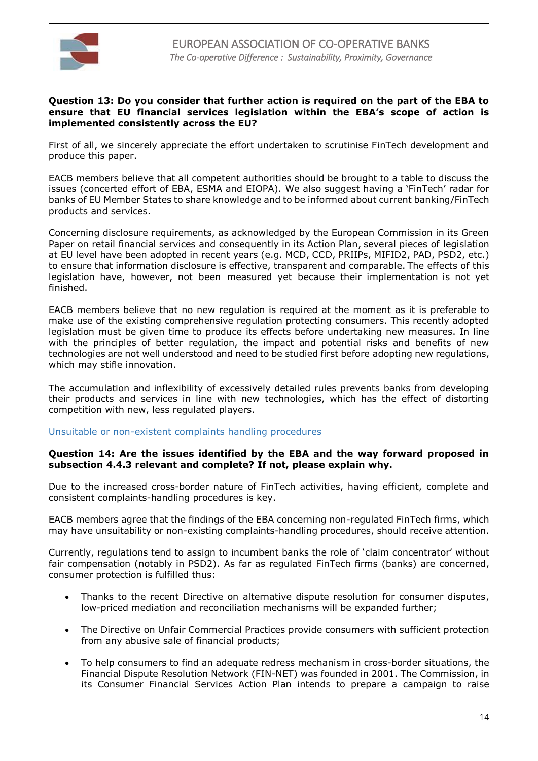

#### **Question 13: Do you consider that further action is required on the part of the EBA to ensure that EU financial services legislation within the EBA's scope of action is implemented consistently across the EU?**

First of all, we sincerely appreciate the effort undertaken to scrutinise FinTech development and produce this paper.

EACB members believe that all competent authorities should be brought to a table to discuss the issues (concerted effort of EBA, ESMA and EIOPA). We also suggest having a 'FinTech' radar for banks of EU Member States to share knowledge and to be informed about current banking/FinTech products and services.

Concerning disclosure requirements, as acknowledged by the European Commission in its Green Paper on retail financial services and consequently in its Action Plan, several pieces of legislation at EU level have been adopted in recent years (e.g. MCD, CCD, PRIIPs, MIFID2, PAD, PSD2, etc.) to ensure that information disclosure is effective, transparent and comparable. The effects of this legislation have, however, not been measured yet because their implementation is not yet finished.

EACB members believe that no new regulation is required at the moment as it is preferable to make use of the existing comprehensive regulation protecting consumers. This recently adopted legislation must be given time to produce its effects before undertaking new measures. In line with the principles of better regulation, the impact and potential risks and benefits of new technologies are not well understood and need to be studied first before adopting new regulations, which may stifle innovation.

The accumulation and inflexibility of excessively detailed rules prevents banks from developing their products and services in line with new technologies, which has the effect of distorting competition with new, less regulated players.

#### Unsuitable or non-existent complaints handling procedures

### **Question 14: Are the issues identified by the EBA and the way forward proposed in subsection 4.4.3 relevant and complete? If not, please explain why.**

Due to the increased cross-border nature of FinTech activities, having efficient, complete and consistent complaints-handling procedures is key.

EACB members agree that the findings of the EBA concerning non-regulated FinTech firms, which may have unsuitability or non-existing complaints-handling procedures, should receive attention.

Currently, regulations tend to assign to incumbent banks the role of 'claim concentrator' without fair compensation (notably in PSD2). As far as regulated FinTech firms (banks) are concerned, consumer protection is fulfilled thus:

- Thanks to the recent Directive on alternative dispute resolution for consumer disputes, low-priced mediation and reconciliation mechanisms will be expanded further;
- The Directive on Unfair Commercial Practices provide consumers with sufficient protection from any abusive sale of financial products;
- To help consumers to find an adequate redress mechanism in cross-border situations, the Financial Dispute Resolution Network (FIN-NET) was founded in 2001. The Commission, in its Consumer Financial Services Action Plan intends to prepare a campaign to raise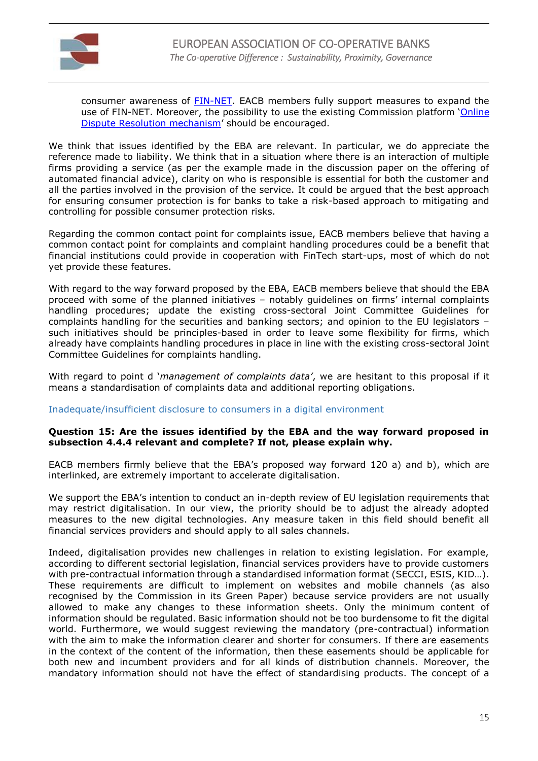

consumer awareness of [FIN-NET.](https://ec.europa.eu/info/business-economy-euro/banking-and-finance/consumer-finance-and-payments/consumer-financial-services/financial-dispute-resolution-network-fin-net_en) EACB members fully support measures to expand the use of FIN-NET. Moreover, the possibility to use the existing Commission platform '[Online](https://ec.europa.eu/consumers/odr/main/?event=main.home.show)  [Dispute Resolution mechanism](https://ec.europa.eu/consumers/odr/main/?event=main.home.show)' should be encouraged.

We think that issues identified by the EBA are relevant. In particular, we do appreciate the reference made to liability. We think that in a situation where there is an interaction of multiple firms providing a service (as per the example made in the discussion paper on the offering of automated financial advice), clarity on who is responsible is essential for both the customer and all the parties involved in the provision of the service. It could be argued that the best approach for ensuring consumer protection is for banks to take a risk-based approach to mitigating and controlling for possible consumer protection risks.

Regarding the common contact point for complaints issue, EACB members believe that having a common contact point for complaints and complaint handling procedures could be a benefit that financial institutions could provide in cooperation with FinTech start-ups, most of which do not yet provide these features.

With regard to the way forward proposed by the EBA, EACB members believe that should the EBA proceed with some of the planned initiatives – notably guidelines on firms' internal complaints handling procedures; update the existing cross-sectoral Joint Committee Guidelines for complaints handling for the securities and banking sectors; and opinion to the EU legislators – such initiatives should be principles-based in order to leave some flexibility for firms, which already have complaints handling procedures in place in line with the existing cross-sectoral Joint Committee Guidelines for complaints handling.

With regard to point d '*management of complaints data'*, we are hesitant to this proposal if it means a standardisation of complaints data and additional reporting obligations.

# Inadequate/insufficient disclosure to consumers in a digital environment

#### **Question 15: Are the issues identified by the EBA and the way forward proposed in subsection 4.4.4 relevant and complete? If not, please explain why.**

EACB members firmly believe that the EBA's proposed way forward 120 a) and b), which are interlinked, are extremely important to accelerate digitalisation.

We support the EBA's intention to conduct an in-depth review of EU legislation requirements that may restrict digitalisation. In our view, the priority should be to adjust the already adopted measures to the new digital technologies. Any measure taken in this field should benefit all financial services providers and should apply to all sales channels.

Indeed, digitalisation provides new challenges in relation to existing legislation. For example, according to different sectorial legislation, financial services providers have to provide customers with pre-contractual information through a standardised information format (SECCI, ESIS, KID…). These requirements are difficult to implement on websites and mobile channels (as also recognised by the Commission in its Green Paper) because service providers are not usually allowed to make any changes to these information sheets. Only the minimum content of information should be regulated. Basic information should not be too burdensome to fit the digital world. Furthermore, we would suggest reviewing the mandatory (pre-contractual) information with the aim to make the information clearer and shorter for consumers. If there are easements in the context of the content of the information, then these easements should be applicable for both new and incumbent providers and for all kinds of distribution channels. Moreover, the mandatory information should not have the effect of standardising products. The concept of a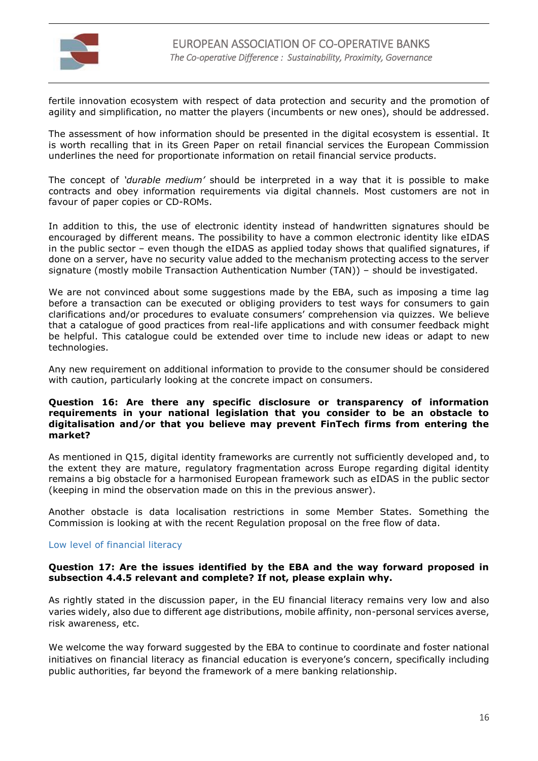

fertile innovation ecosystem with respect of data protection and security and the promotion of agility and simplification, no matter the players (incumbents or new ones), should be addressed.

The assessment of how information should be presented in the digital ecosystem is essential. It is worth recalling that in its Green Paper on retail financial services the European Commission underlines the need for proportionate information on retail financial service products.

The concept of *'durable medium'* should be interpreted in a way that it is possible to make contracts and obey information requirements via digital channels. Most customers are not in favour of paper copies or CD-ROMs.

In addition to this, the use of electronic identity instead of handwritten signatures should be encouraged by different means. The possibility to have a common electronic identity like eIDAS in the public sector – even though the eIDAS as applied today shows that qualified signatures, if done on a server, have no security value added to the mechanism protecting access to the server signature (mostly mobile Transaction Authentication Number (TAN)) – should be investigated.

We are not convinced about some suggestions made by the EBA, such as imposing a time lag before a transaction can be executed or obliging providers to test ways for consumers to gain clarifications and/or procedures to evaluate consumers' comprehension via quizzes. We believe that a catalogue of good practices from real-life applications and with consumer feedback might be helpful. This catalogue could be extended over time to include new ideas or adapt to new technologies.

Any new requirement on additional information to provide to the consumer should be considered with caution, particularly looking at the concrete impact on consumers.

### **Question 16: Are there any specific disclosure or transparency of information requirements in your national legislation that you consider to be an obstacle to digitalisation and/or that you believe may prevent FinTech firms from entering the market?**

As mentioned in Q15, digital identity frameworks are currently not sufficiently developed and, to the extent they are mature, regulatory fragmentation across Europe regarding digital identity remains a big obstacle for a harmonised European framework such as eIDAS in the public sector (keeping in mind the observation made on this in the previous answer).

Another obstacle is data localisation restrictions in some Member States. Something the Commission is looking at with the recent Regulation proposal on the free flow of data.

#### Low level of financial literacy

### **Question 17: Are the issues identified by the EBA and the way forward proposed in subsection 4.4.5 relevant and complete? If not, please explain why.**

As rightly stated in the discussion paper, in the EU financial literacy remains very low and also varies widely, also due to different age distributions, mobile affinity, non-personal services averse, risk awareness, etc.

We welcome the way forward suggested by the EBA to continue to coordinate and foster national initiatives on financial literacy as financial education is everyone's concern, specifically including public authorities, far beyond the framework of a mere banking relationship.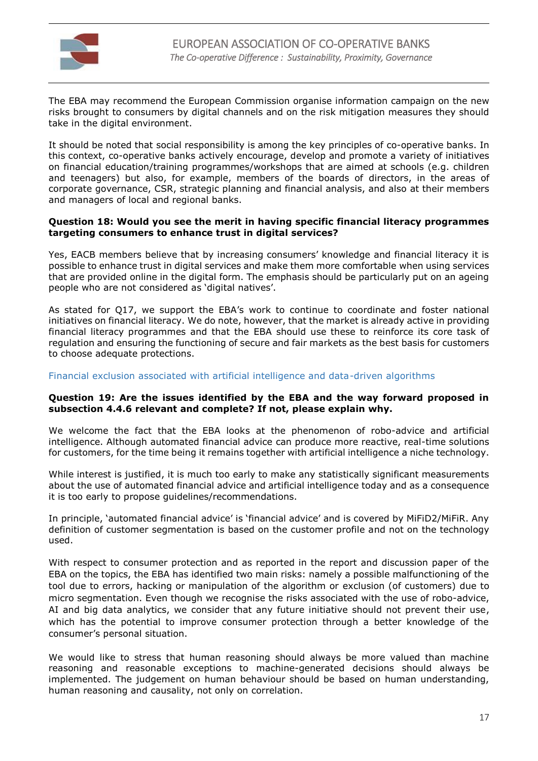

The EBA may recommend the European Commission organise information campaign on the new risks brought to consumers by digital channels and on the risk mitigation measures they should take in the digital environment.

It should be noted that social responsibility is among the key principles of co-operative banks. In this context, co-operative banks actively encourage, develop and promote a variety of initiatives on financial education/training programmes/workshops that are aimed at schools (e.g. children and teenagers) but also, for example, members of the boards of directors, in the areas of corporate governance, CSR, strategic planning and financial analysis, and also at their members and managers of local and regional banks.

#### **Question 18: Would you see the merit in having specific financial literacy programmes targeting consumers to enhance trust in digital services?**

Yes, EACB members believe that by increasing consumers' knowledge and financial literacy it is possible to enhance trust in digital services and make them more comfortable when using services that are provided online in the digital form. The emphasis should be particularly put on an ageing people who are not considered as 'digital natives'.

As stated for Q17, we support the EBA's work to continue to coordinate and foster national initiatives on financial literacy. We do note, however, that the market is already active in providing financial literacy programmes and that the EBA should use these to reinforce its core task of regulation and ensuring the functioning of secure and fair markets as the best basis for customers to choose adequate protections.

## Financial exclusion associated with artificial intelligence and data-driven algorithms

#### **Question 19: Are the issues identified by the EBA and the way forward proposed in subsection 4.4.6 relevant and complete? If not, please explain why.**

We welcome the fact that the EBA looks at the phenomenon of robo-advice and artificial intelligence. Although automated financial advice can produce more reactive, real-time solutions for customers, for the time being it remains together with artificial intelligence a niche technology.

While interest is justified, it is much too early to make any statistically significant measurements about the use of automated financial advice and artificial intelligence today and as a consequence it is too early to propose guidelines/recommendations.

In principle, 'automated financial advice' is 'financial advice' and is covered by MiFiD2/MiFiR. Any definition of customer segmentation is based on the customer profile and not on the technology used.

With respect to consumer protection and as reported in the report and discussion paper of the EBA on the topics, the EBA has identified two main risks: namely a possible malfunctioning of the tool due to errors, hacking or manipulation of the algorithm or exclusion (of customers) due to micro segmentation. Even though we recognise the risks associated with the use of robo-advice, AI and big data analytics, we consider that any future initiative should not prevent their use, which has the potential to improve consumer protection through a better knowledge of the consumer's personal situation.

We would like to stress that human reasoning should always be more valued than machine reasoning and reasonable exceptions to machine-generated decisions should always be implemented. The judgement on human behaviour should be based on human understanding, human reasoning and causality, not only on correlation.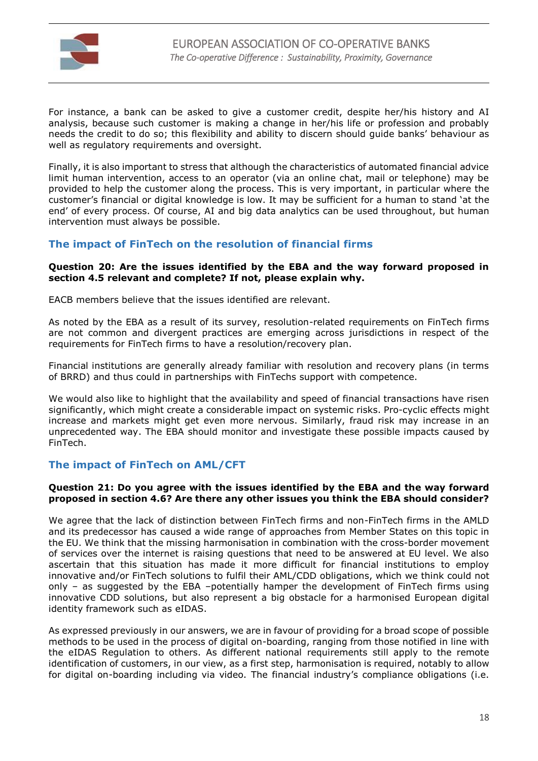

For instance, a bank can be asked to give a customer credit, despite her/his history and AI analysis, because such customer is making a change in her/his life or profession and probably needs the credit to do so; this flexibility and ability to discern should guide banks' behaviour as well as regulatory requirements and oversight.

Finally, it is also important to stress that although the characteristics of automated financial advice limit human intervention, access to an operator (via an online chat, mail or telephone) may be provided to help the customer along the process. This is very important, in particular where the customer's financial or digital knowledge is low. It may be sufficient for a human to stand 'at the end' of every process. Of course, AI and big data analytics can be used throughout, but human intervention must always be possible.

# **The impact of FinTech on the resolution of financial firms**

#### **Question 20: Are the issues identified by the EBA and the way forward proposed in section 4.5 relevant and complete? If not, please explain why.**

EACB members believe that the issues identified are relevant.

As noted by the EBA as a result of its survey, resolution-related requirements on FinTech firms are not common and divergent practices are emerging across jurisdictions in respect of the requirements for FinTech firms to have a resolution/recovery plan.

Financial institutions are generally already familiar with resolution and recovery plans (in terms of BRRD) and thus could in partnerships with FinTechs support with competence.

We would also like to highlight that the availability and speed of financial transactions have risen significantly, which might create a considerable impact on systemic risks. Pro-cyclic effects might increase and markets might get even more nervous. Similarly, fraud risk may increase in an unprecedented way. The EBA should monitor and investigate these possible impacts caused by FinTech.

# **The impact of FinTech on AML/CFT**

#### **Question 21: Do you agree with the issues identified by the EBA and the way forward proposed in section 4.6? Are there any other issues you think the EBA should consider?**

We agree that the lack of distinction between FinTech firms and non-FinTech firms in the AMLD and its predecessor has caused a wide range of approaches from Member States on this topic in the EU. We think that the missing harmonisation in combination with the cross-border movement of services over the internet is raising questions that need to be answered at EU level. We also ascertain that this situation has made it more difficult for financial institutions to employ innovative and/or FinTech solutions to fulfil their AML/CDD obligations, which we think could not only – as suggested by the EBA –potentially hamper the development of FinTech firms using innovative CDD solutions, but also represent a big obstacle for a harmonised European digital identity framework such as eIDAS.

As expressed previously in our answers, we are in favour of providing for a broad scope of possible methods to be used in the process of digital on-boarding, ranging from those notified in line with the eIDAS Regulation to others. As different national requirements still apply to the remote identification of customers, in our view, as a first step, harmonisation is required, notably to allow for digital on-boarding including via video. The financial industry's compliance obligations (i.e.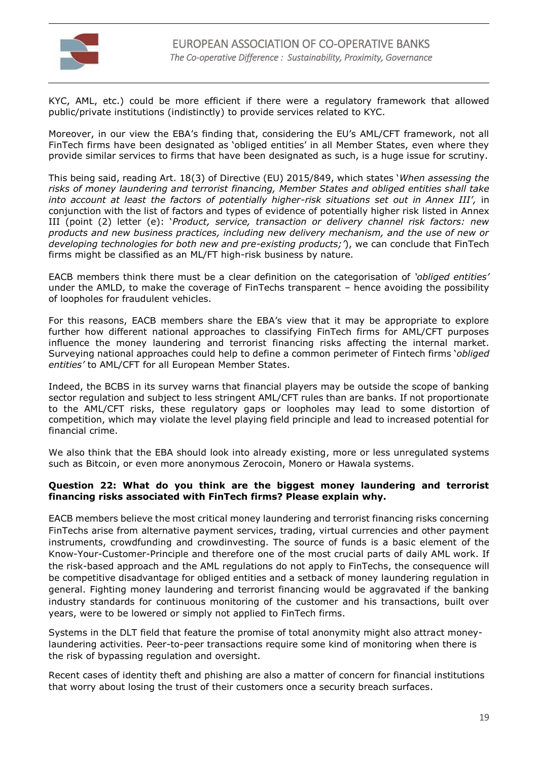

KYC, AML, etc.) could be more efficient if there were a regulatory framework that allowed public/private institutions (indistinctly) to provide services related to KYC.

Moreover, in our view the EBA's finding that, considering the EU's AML/CFT framework, not all FinTech firms have been designated as 'obliged entities' in all Member States, even where they provide similar services to firms that have been designated as such, is a huge issue for scrutiny.

This being said, reading Art. 18(3) of Directive (EU) 2015/849, which states '*When assessing the risks of money laundering and terrorist financing, Member States and obliged entities shall take into account at least the factors of potentially higher-risk situations set out in Annex III',* in conjunction with the list of factors and types of evidence of potentially higher risk listed in Annex III (point (2) letter (e): '*Product, service, transaction or delivery channel risk factors: new products and new business practices, including new delivery mechanism, and the use of new or developing technologies for both new and pre-existing products;'*), we can conclude that FinTech firms might be classified as an ML/FT high-risk business by nature.

EACB members think there must be a clear definition on the categorisation of *'obliged entities'* under the AMLD, to make the coverage of FinTechs transparent – hence avoiding the possibility of loopholes for fraudulent vehicles.

For this reasons, EACB members share the EBA's view that it may be appropriate to explore further how different national approaches to classifying FinTech firms for AML/CFT purposes influence the money laundering and terrorist financing risks affecting the internal market. Surveying national approaches could help to define a common perimeter of Fintech firms '*obliged entities'* to AML/CFT for all European Member States.

Indeed, the BCBS in its survey warns that financial players may be outside the scope of banking sector regulation and subject to less stringent AML/CFT rules than are banks. If not proportionate to the AML/CFT risks, these regulatory gaps or loopholes may lead to some distortion of competition, which may violate the level playing field principle and lead to increased potential for financial crime.

We also think that the EBA should look into already existing, more or less unregulated systems such as Bitcoin, or even more anonymous Zerocoin, Monero or Hawala systems.

### **Question 22: What do you think are the biggest money laundering and terrorist financing risks associated with FinTech firms? Please explain why.**

EACB members believe the most critical money laundering and terrorist financing risks concerning FinTechs arise from alternative payment services, trading, virtual currencies and other payment instruments, crowdfunding and crowdinvesting. The source of funds is a basic element of the Know-Your-Customer-Principle and therefore one of the most crucial parts of daily AML work. If the risk-based approach and the AML regulations do not apply to FinTechs, the consequence will be competitive disadvantage for obliged entities and a setback of money laundering regulation in general. Fighting money laundering and terrorist financing would be aggravated if the banking industry standards for continuous monitoring of the customer and his transactions, built over years, were to be lowered or simply not applied to FinTech firms.

Systems in the DLT field that feature the promise of total anonymity might also attract moneylaundering activities. Peer-to-peer transactions require some kind of monitoring when there is the risk of bypassing regulation and oversight.

Recent cases of identity theft and phishing are also a matter of concern for financial institutions that worry about losing the trust of their customers once a security breach surfaces.